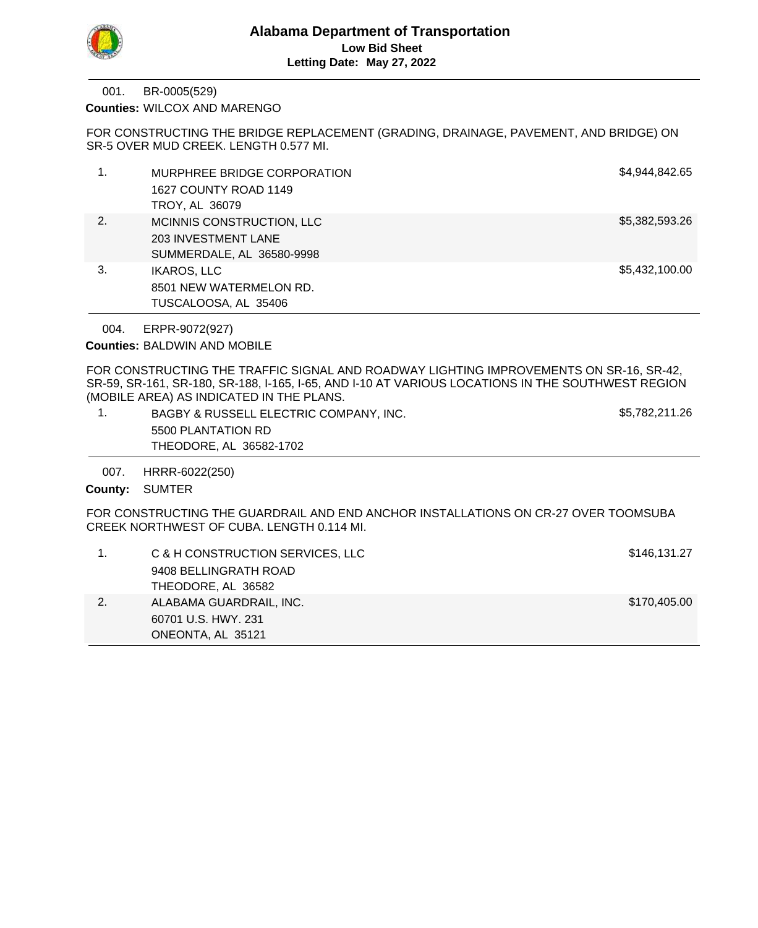BR-0005(529) 001.

Counties: WILCOX AND MARENGO

FOR CONSTRUCTING THE BRIDGE REPLACEMENT (GRADING, DRAINAGE, PAVEMENT, AND BRIDGE) ON SR-5 OVER MUD CREEK. LENGTH 0.577 MI.

| 1. | MURPHREE BRIDGE CORPORATION | \$4,944,842.65 |
|----|-----------------------------|----------------|
|    | 1627 COUNTY ROAD 1149       |                |
|    | TROY, AL 36079              |                |
| 2. | MCINNIS CONSTRUCTION, LLC   | \$5,382,593.26 |
|    | <b>203 INVESTMENT LANE</b>  |                |
|    | SUMMERDALE, AL 36580-9998   |                |
| 3. | <b>IKAROS, LLC</b>          | \$5,432,100.00 |
|    | 8501 NEW WATERMELON RD.     |                |
|    | TUSCALOOSA, AL 35406        |                |

ERPR-9072(927) 004.

**Counties: BALDWIN AND MOBILE** 

FOR CONSTRUCTING THE TRAFFIC SIGNAL AND ROADWAY LIGHTING IMPROVEMENTS ON SR-16, SR-42, SR-59, SR-161, SR-180, SR-188, I-165, I-65, AND I-10 AT VARIOUS LOCATIONS IN THE SOUTHWEST REGION (MOBILE AREA) AS INDICATED IN THE PLANS.

| BAGBY & RUSSELL ELECTRIC COMPANY, INC. | \$5,782,211.26 |
|----------------------------------------|----------------|
| 5500 PLANTATION RD                     |                |
| THEODORE, AL 36582-1702                |                |

HRRR-6022(250) 007.

County: SUMTER

FOR CONSTRUCTING THE GUARDRAIL AND END ANCHOR INSTALLATIONS ON CR-27 OVER TOOMSUBA CREEK NORTHWEST OF CUBA. LENGTH 0.114 MI.

|    | C & H CONSTRUCTION SERVICES, LLC | \$146,131.27 |
|----|----------------------------------|--------------|
|    | 9408 BELLINGRATH ROAD            |              |
|    | THEODORE, AL 36582               |              |
| 2. | ALABAMA GUARDRAIL, INC.          | \$170,405.00 |
|    | 60701 U.S. HWY, 231              |              |
|    | ONEONTA, AL 35121                |              |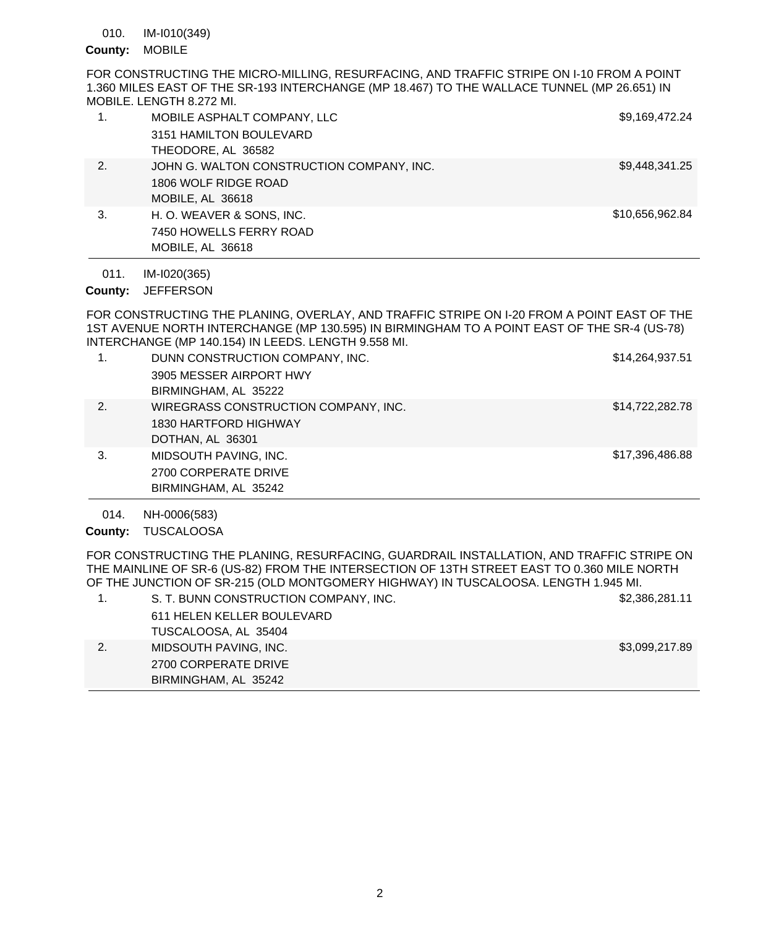IM-I010(349) 010.

## County: MOBILE

FOR CONSTRUCTING THE MICRO-MILLING, RESURFACING, AND TRAFFIC STRIPE ON I-10 FROM A POINT 1.360 MILES EAST OF THE SR-193 INTERCHANGE (MP 18.467) TO THE WALLACE TUNNEL (MP 26.651) IN MOBILE. LENGTH 8.272 MI.

|    | MOBILE ASPHALT COMPANY, LLC               | \$9,169,472.24  |
|----|-------------------------------------------|-----------------|
|    | 3151 HAMILTON BOULEVARD                   |                 |
|    | THEODORE, AL 36582                        |                 |
| 2. | JOHN G. WALTON CONSTRUCTION COMPANY, INC. | \$9,448,341.25  |
|    | 1806 WOLF RIDGE ROAD                      |                 |
|    | MOBILE, AL 36618                          |                 |
| 3. | H. O. WEAVER & SONS, INC.                 | \$10,656,962.84 |
|    | 7450 HOWELLS FERRY ROAD                   |                 |
|    | MOBILE, AL 36618                          |                 |

#### IM-I020(365) 011.

County: JEFFERSON

FOR CONSTRUCTING THE PLANING, OVERLAY, AND TRAFFIC STRIPE ON I-20 FROM A POINT EAST OF THE 1ST AVENUE NORTH INTERCHANGE (MP 130.595) IN BIRMINGHAM TO A POINT EAST OF THE SR-4 (US-78) INTERCHANGE (MP 140.154) IN LEEDS. LENGTH 9.558 MI.

| 1. | DUNN CONSTRUCTION COMPANY, INC.<br>3905 MESSER AIRPORT HWY<br>BIRMINGHAM, AL 35222 | \$14,264,937.51 |
|----|------------------------------------------------------------------------------------|-----------------|
| 2. | WIREGRASS CONSTRUCTION COMPANY, INC.<br>1830 HARTFORD HIGHWAY<br>DOTHAN, AL 36301  | \$14,722,282.78 |
| 3. | MIDSOUTH PAVING, INC.<br>2700 CORPERATE DRIVE<br>BIRMINGHAM, AL 35242              | \$17,396,486.88 |

NH-0006(583) 014.

County: TUSCALOOSA

FOR CONSTRUCTING THE PLANING, RESURFACING, GUARDRAIL INSTALLATION, AND TRAFFIC STRIPE ON THE MAINLINE OF SR-6 (US-82) FROM THE INTERSECTION OF 13TH STREET EAST TO 0.360 MILE NORTH OF THE JUNCTION OF SR-215 (OLD MONTGOMERY HIGHWAY) IN TUSCALOOSA. LENGTH 1.945 MI.

|    | S. T. BUNN CONSTRUCTION COMPANY, INC. | \$2,386,281.11 |
|----|---------------------------------------|----------------|
|    | 611 HELEN KELLER BOULEVARD            |                |
|    | TUSCALOOSA, AL 35404                  |                |
| 2. | MIDSOUTH PAVING, INC.                 | \$3,099,217.89 |
|    | 2700 CORPERATE DRIVE                  |                |
|    | BIRMINGHAM, AL 35242                  |                |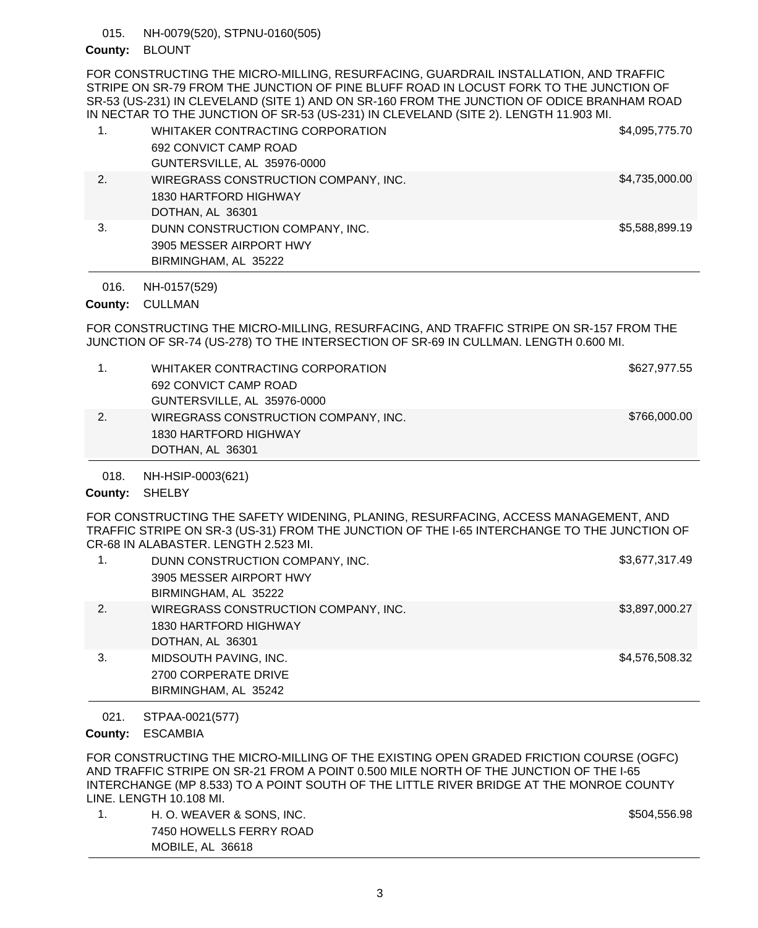NH-0079(520), STPNU-0160(505) 015.

# County: BLOUNT

FOR CONSTRUCTING THE MICRO-MILLING, RESURFACING, GUARDRAIL INSTALLATION, AND TRAFFIC STRIPE ON SR-79 FROM THE JUNCTION OF PINE BLUFF ROAD IN LOCUST FORK TO THE JUNCTION OF SR-53 (US-231) IN CLEVELAND (SITE 1) AND ON SR-160 FROM THE JUNCTION OF ODICE BRANHAM ROAD IN NECTAR TO THE JUNCTION OF SR-53 (US-231) IN CLEVELAND (SITE 2). LENGTH 11.903 MI.

| 1. | WHITAKER CONTRACTING CORPORATION<br>692 CONVICT CAMP ROAD<br>GUNTERSVILLE, AL 35976-0000 | \$4,095,775.70 |
|----|------------------------------------------------------------------------------------------|----------------|
| 2. | WIREGRASS CONSTRUCTION COMPANY, INC.<br>1830 HARTFORD HIGHWAY<br>DOTHAN, AL 36301        | \$4,735,000.00 |
| 3. | DUNN CONSTRUCTION COMPANY, INC.<br>3905 MESSER AIRPORT HWY<br>BIRMINGHAM, AL 35222       | \$5,588,899.19 |

NH-0157(529) 016.

County: CULLMAN

FOR CONSTRUCTING THE MICRO-MILLING, RESURFACING, AND TRAFFIC STRIPE ON SR-157 FROM THE JUNCTION OF SR-74 (US-278) TO THE INTERSECTION OF SR-69 IN CULLMAN. LENGTH 0.600 MI.

| 1. | WHITAKER CONTRACTING CORPORATION     | \$627,977.55 |
|----|--------------------------------------|--------------|
|    | 692 CONVICT CAMP ROAD                |              |
|    | GUNTERSVILLE, AL 35976-0000          |              |
| 2. | WIREGRASS CONSTRUCTION COMPANY, INC. | \$766,000.00 |
|    | 1830 HARTFORD HIGHWAY                |              |
|    | DOTHAN, AL 36301                     |              |

NH-HSIP-0003(621) 018.

County: SHELBY

FOR CONSTRUCTING THE SAFETY WIDENING, PLANING, RESURFACING, ACCESS MANAGEMENT, AND TRAFFIC STRIPE ON SR-3 (US-31) FROM THE JUNCTION OF THE I-65 INTERCHANGE TO THE JUNCTION OF CR-68 IN ALABASTER. LENGTH 2.523 MI.

| 1. | DUNN CONSTRUCTION COMPANY, INC.<br>3905 MESSER AIRPORT HWY<br>BIRMINGHAM, AL 35222 | \$3,677,317.49 |
|----|------------------------------------------------------------------------------------|----------------|
| 2. | WIREGRASS CONSTRUCTION COMPANY, INC.<br>1830 HARTFORD HIGHWAY<br>DOTHAN, AL 36301  | \$3,897,000.27 |
| 3. | MIDSOUTH PAVING, INC.<br>2700 CORPERATE DRIVE<br>BIRMINGHAM, AL 35242              | \$4,576,508.32 |

STPAA-0021(577) 021.

ESCAMBIA **County:**

FOR CONSTRUCTING THE MICRO-MILLING OF THE EXISTING OPEN GRADED FRICTION COURSE (OGFC) AND TRAFFIC STRIPE ON SR-21 FROM A POINT 0.500 MILE NORTH OF THE JUNCTION OF THE I-65 INTERCHANGE (MP 8.533) TO A POINT SOUTH OF THE LITTLE RIVER BRIDGE AT THE MONROE COUNTY LINE. LENGTH 10.108 MI.

1. H. O. WEAVER & SONS, INC. **Show and South American Structure Construction Construction S504,556.98** 7450 HOWELLS FERRY ROAD MOBILE, AL 36618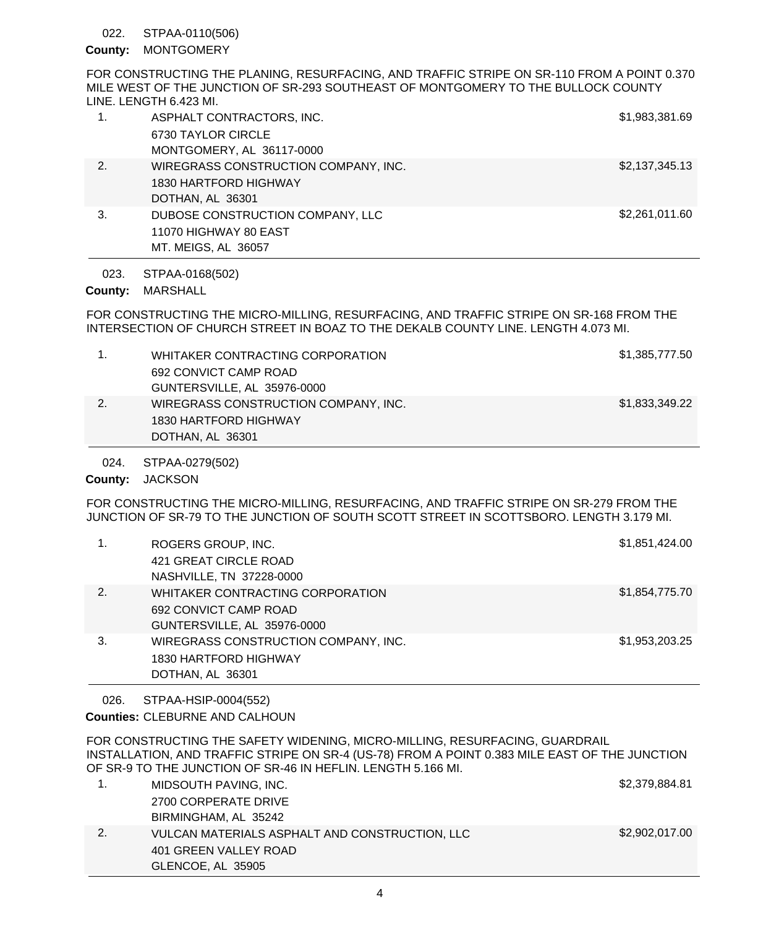### STPAA-0110(506) 022.

## County: MONTGOMERY

FOR CONSTRUCTING THE PLANING, RESURFACING, AND TRAFFIC STRIPE ON SR-110 FROM A POINT 0.370 MILE WEST OF THE JUNCTION OF SR-293 SOUTHEAST OF MONTGOMERY TO THE BULLOCK COUNTY LINE. LENGTH 6.423 MI.

|    | ASPHALT CONTRACTORS, INC.            | \$1,983,381.69 |
|----|--------------------------------------|----------------|
|    | 6730 TAYLOR CIRCLE                   |                |
|    | MONTGOMERY, AL 36117-0000            |                |
| 2. | WIREGRASS CONSTRUCTION COMPANY, INC. | \$2,137,345.13 |
|    | 1830 HARTFORD HIGHWAY                |                |
|    | DOTHAN, AL 36301                     |                |
| 3. | DUBOSE CONSTRUCTION COMPANY, LLC     | \$2,261,011.60 |
|    | 11070 HIGHWAY 80 EAST                |                |
|    | MT. MEIGS, AL 36057                  |                |

STPAA-0168(502) 023.

# County: MARSHALL

FOR CONSTRUCTING THE MICRO-MILLING, RESURFACING, AND TRAFFIC STRIPE ON SR-168 FROM THE INTERSECTION OF CHURCH STREET IN BOAZ TO THE DEKALB COUNTY LINE. LENGTH 4.073 MI.

|    | WHITAKER CONTRACTING CORPORATION     | \$1,385,777.50 |
|----|--------------------------------------|----------------|
|    | 692 CONVICT CAMP ROAD                |                |
|    | GUNTERSVILLE, AL 35976-0000          |                |
| 2. | WIREGRASS CONSTRUCTION COMPANY, INC. | \$1,833,349.22 |
|    | 1830 HARTFORD HIGHWAY                |                |
|    | DOTHAN, AL 36301                     |                |

STPAA-0279(502) 024.

### County: JACKSON

FOR CONSTRUCTING THE MICRO-MILLING, RESURFACING, AND TRAFFIC STRIPE ON SR-279 FROM THE JUNCTION OF SR-79 TO THE JUNCTION OF SOUTH SCOTT STREET IN SCOTTSBORO. LENGTH 3.179 MI.

| 1. | ROGERS GROUP, INC.<br>421 GREAT CIRCLE ROAD<br>NASHVILLE, TN 37228-0000                  | \$1,851,424.00 |
|----|------------------------------------------------------------------------------------------|----------------|
| 2. | WHITAKER CONTRACTING CORPORATION<br>692 CONVICT CAMP ROAD<br>GUNTERSVILLE, AL 35976-0000 | \$1,854,775.70 |
| 3. | WIREGRASS CONSTRUCTION COMPANY, INC.<br>1830 HARTFORD HIGHWAY<br>DOTHAN, AL 36301        | \$1,953,203.25 |

STPAA-HSIP-0004(552) 026.

# Counties: CLEBURNE AND CALHOUN

FOR CONSTRUCTING THE SAFETY WIDENING, MICRO-MILLING, RESURFACING, GUARDRAIL INSTALLATION, AND TRAFFIC STRIPE ON SR-4 (US-78) FROM A POINT 0.383 MILE EAST OF THE JUNCTION OF SR-9 TO THE JUNCTION OF SR-46 IN HEFLIN. LENGTH 5.166 MI.

|    | MIDSOUTH PAVING, INC.                          | \$2,379,884.81 |
|----|------------------------------------------------|----------------|
|    | 2700 CORPERATE DRIVE                           |                |
|    | BIRMINGHAM, AL 35242                           |                |
| 2. | VULCAN MATERIALS ASPHALT AND CONSTRUCTION, LLC | \$2,902,017.00 |
|    | 401 GREEN VALLEY ROAD                          |                |
|    | GLENCOE, AL 35905                              |                |